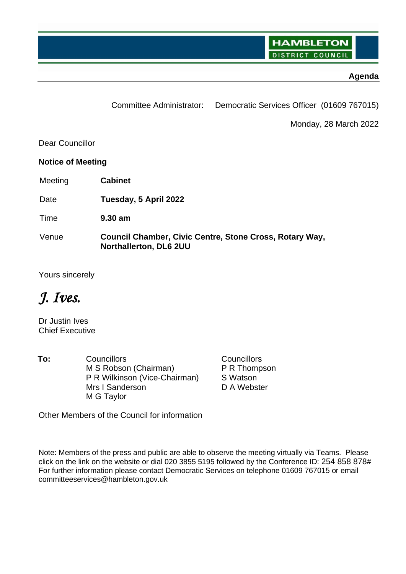**HAMBLETON DISTRICT COUNCIL** 

# **Agenda**

|                          | <b>Committee Administrator:</b>                                                   | Democratic Services Officer (01609 767015) |
|--------------------------|-----------------------------------------------------------------------------------|--------------------------------------------|
|                          |                                                                                   | Monday, 28 March 2022                      |
| Dear Councillor          |                                                                                   |                                            |
| <b>Notice of Meeting</b> |                                                                                   |                                            |
| Meeting                  | <b>Cabinet</b>                                                                    |                                            |
| Date                     | Tuesday, 5 April 2022                                                             |                                            |
| Time                     | $9.30$ am                                                                         |                                            |
| Venue                    | Council Chamber, Civic Centre, Stone Cross, Rotary Way,<br>Northallerton, DL6 2UU |                                            |

Yours sincerely

# *J. Ives.*

Dr Justin Ives Chief Executive

To: Councillors Councillors Councillors M S Robson (Chairman) P R Wilkinson (Vice-Chairman) Mrs I Sanderson M G Taylor

P R Thompson S Watson D A Webster

Other Members of the Council for information

Note: Members of the press and public are able to observe the meeting virtually via Teams. Please click on the link on the website or dial 020 3855 5195 followed by the Conference ID: 254 858 878# For further information please contact Democratic Services on telephone 01609 767015 or email committeeservices@hambleton.gov.uk